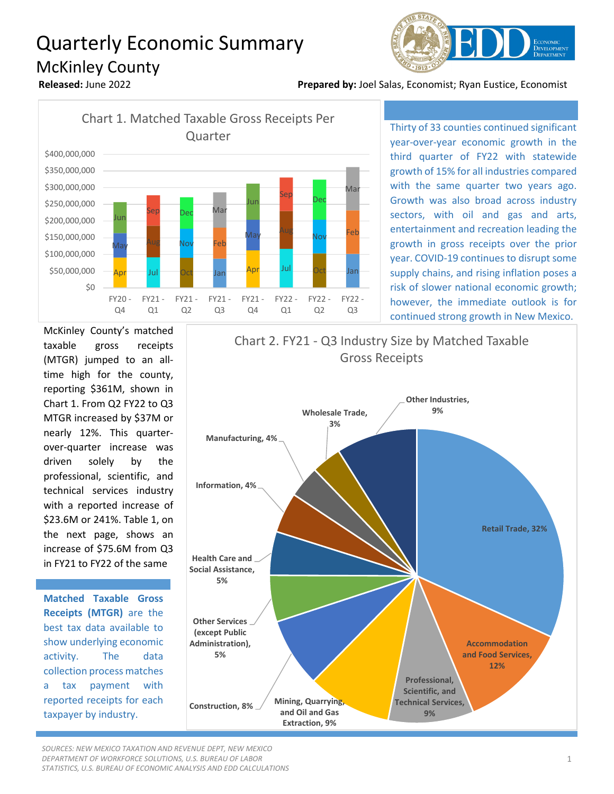## Quarterly Economic Summary McKinley County



**Released:** June 2022 **Prepared by:** Joel Salas, Economist; Ryan Eustice, Economist



Thirty of 33 counties continued significant year-over-year economic growth in the third quarter of FY22 with statewide growth of 15% for all industries compared with the same quarter two years ago. Growth was also broad across industry sectors, with oil and gas and arts, entertainment and recreation leading the growth in gross receipts over the prior year. COVID-19 continues to disrupt some supply chains, and rising inflation poses a risk of slower national economic growth; however, the immediate outlook is for continued strong growth in New Mexico.

McKinley County's matched taxable gross receipts (MTGR) jumped to an alltime high for the county, reporting \$361M, shown in Chart 1. From Q2 FY22 to Q3 MTGR increased by \$37M or nearly 12%. This quarterover-quarter increase was driven solely by the professional, scientific, and technical services industry with a reported increase of \$23.6M or 241%. Table 1, on the next page, shows an increase of \$75.6M from Q3 in FY21 to FY22 of the same

**Matched Taxable Gross Receipts (MTGR)** are the best tax data available to show underlying economic activity. The data collection process matches a tax payment with reported receipts for each taxpayer by industry.



*SOURCES: NEW MEXICO TAXATION AND REVENUE DEPT, NEW MEXICO DEPARTMENT OF WORKFORCE SOLUTIONS, U.S. BUREAU OF LABOR STATISTICS, U.S. BUREAU OF ECONOMIC ANALYSIS AND EDD CALCULATIONS*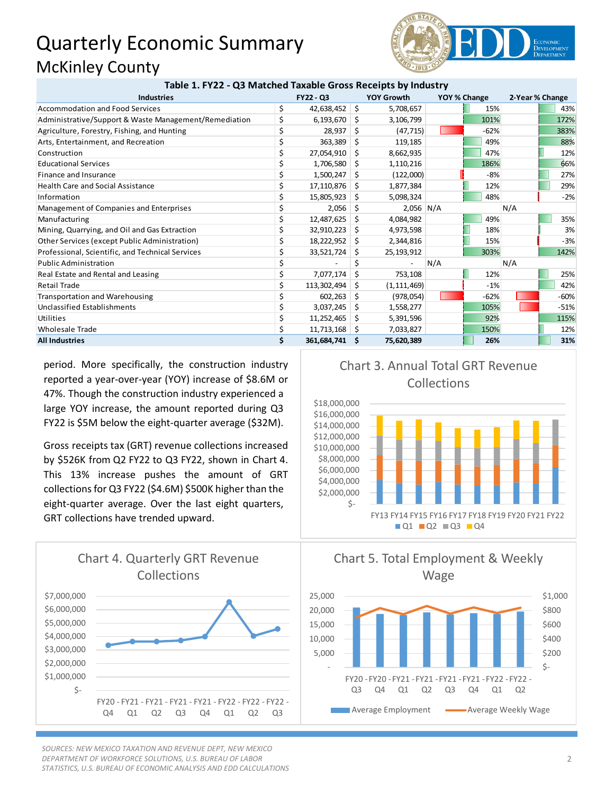## Quarterly Economic Summary McKinley County **Table 1. FY22 - Q3 Matched Taxable Gross Receipts by Industry**



| Table 1. FTZZ - QS Matched Taxable Gross Receipts by Industry |                  |                 |    |                   |              |        |                 |        |
|---------------------------------------------------------------|------------------|-----------------|----|-------------------|--------------|--------|-----------------|--------|
| <b>Industries</b>                                             | <b>FY22 - Q3</b> |                 |    | <b>YOY Growth</b> | YOY % Change |        | 2-Year % Change |        |
| Accommodation and Food Services                               | \$               | 42,638,452      | \$ | 5,708,657         |              | 15%    |                 | 43%    |
| Administrative/Support & Waste Management/Remediation         |                  | 6,193,670       | S. | 3,106,799         |              | 101%   |                 | 172%   |
| Agriculture, Forestry, Fishing, and Hunting                   |                  | 28,937          | Ŝ. | (47, 715)         |              | $-62%$ |                 | 383%   |
| Arts, Entertainment, and Recreation                           |                  | 363,389         | Ŝ. | 119,185           |              | 49%    |                 | 88%    |
| Construction                                                  |                  | 27,054,910      | S  | 8,662,935         |              | 47%    |                 | 12%    |
| <b>Educational Services</b>                                   |                  | 1,706,580       | \$ | 1,110,216         |              | 186%   |                 | 66%    |
| Finance and Insurance                                         |                  | 1,500,247       | Ŝ. | (122,000)         |              | $-8%$  |                 | 27%    |
| <b>Health Care and Social Assistance</b>                      |                  | 17,110,876      | S  | 1,877,384         |              | 12%    |                 | 29%    |
| Information                                                   |                  | 15,805,923      | s  | 5,098,324         |              | 48%    |                 | $-2%$  |
| Management of Companies and Enterprises                       |                  | 2,056           |    | $2,056$ N/A       |              |        | N/A             |        |
| Manufacturing                                                 |                  | 12,487,625      | S  | 4,084,982         |              | 49%    |                 | 35%    |
| Mining, Quarrying, and Oil and Gas Extraction                 |                  | 32,910,223      | S. | 4,973,598         |              | 18%    |                 | 3%     |
| Other Services (except Public Administration)                 |                  | 18,222,952      | S. | 2,344,816         |              | 15%    |                 | $-3%$  |
| Professional, Scientific, and Technical Services              |                  | 33,521,724      | S  | 25,193,912        |              | 303%   |                 | 142%   |
| <b>Public Administration</b>                                  |                  |                 |    |                   | N/A          |        | N/A             |        |
| Real Estate and Rental and Leasing                            |                  | 7,077,174       | Ŝ. | 753,108           |              | 12%    |                 | 25%    |
| <b>Retail Trade</b>                                           |                  | 113,302,494     | S  | (1, 111, 469)     |              | $-1%$  |                 | 42%    |
| <b>Transportation and Warehousing</b>                         |                  | 602,263         | S  | (978, 054)        |              | $-62%$ |                 | $-60%$ |
| Unclassified Establishments                                   |                  | 3,037,245       | S. | 1,558,277         |              | 105%   |                 | $-51%$ |
| Utilities                                                     |                  | 11,252,465      | S  | 5,391,596         |              | 92%    |                 | 115%   |
| <b>Wholesale Trade</b>                                        |                  | $11,713,168$ \$ |    | 7,033,827         |              | 150%   |                 | 12%    |
| <b>All Industries</b>                                         | Ś.               | 361,684,741     | -S | 75,620,389        |              | 26%    |                 | 31%    |

period. More specifically, the construction industry reported a year-over-year (YOY) increase of \$8.6M or 47%. Though the construction industry experienced a large YOY increase, the amount reported during Q3 FY22 is \$5M below the eight-quarter average (\$32M).

Gross receipts tax (GRT) revenue collections increased by \$526K from Q2 FY22 to Q3 FY22, shown in Chart 4. This 13% increase pushes the amount of GRT collections for Q3 FY22 (\$4.6M) \$500K higher than the eight-quarter average. Over the last eight quarters, GRT collections have trended upward.



*SOURCES: NEW MEXICO TAXATION AND REVENUE DEPT, NEW MEXICO DEPARTMENT OF WORKFORCE SOLUTIONS, U.S. BUREAU OF LABOR STATISTICS, U.S. BUREAU OF ECONOMIC ANALYSIS AND EDD CALCULATIONS*

## Chart 3. Annual Total GRT Revenue Collections